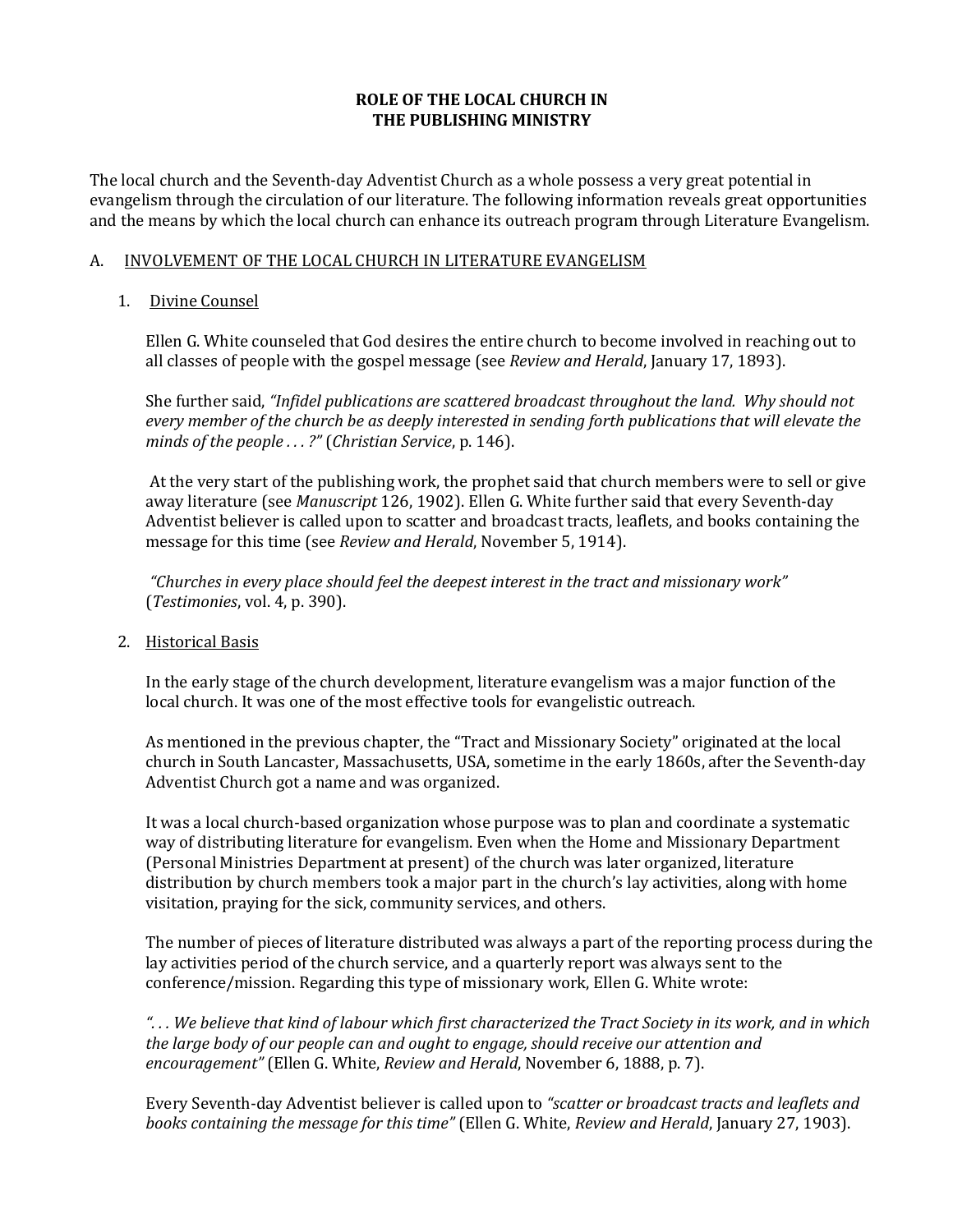# **ROLE OF THE LOCAL CHURCH IN THE PUBLISHING MINISTRY**

The local church and the Seventh-day Adventist Church as a whole possess a very great potential in evangelism through the circulation of our literature. The following information reveals great opportunities and the means by which the local church can enhance its outreach program through Literature Evangelism.

## A. INVOLVEMENT OF THE LOCAL CHURCH IN LITERATURE EVANGELISM

# 1. Divine Counsel

Ellen G. White counseled that God desires the entire church to become involved in reaching out to all classes of people with the gospel message (see *Review and Herald*, January 17, 1893).

She further said, *"Infidel publications are scattered broadcast throughout the land. Why should not every member of the church be as deeply interested in sending forth publications that will elevate the minds of the people . . . ?"* (*Christian Service*, p. 146).

At the very start of the publishing work, the prophet said that church members were to sell or give away literature (see *Manuscript* 126, 1902). Ellen G. White further said that every Seventh-day Adventist believer is called upon to scatter and broadcast tracts, leaflets, and books containing the message for this time (see *Review and Herald*, November 5, 1914).

*"Churches in every place should feel the deepest interest in the tract and missionary work"*  (*Testimonies*, vol. 4, p. 390).

2. Historical Basis

In the early stage of the church development, literature evangelism was a major function of the local church. It was one of the most effective tools for evangelistic outreach.

As mentioned in the previous chapter, the "Tract and Missionary Society" originated at the local church in South Lancaster, Massachusetts, USA, sometime in the early 1860s, after the Seventh-day Adventist Church got a name and was organized.

It was a local church-based organization whose purpose was to plan and coordinate a systematic way of distributing literature for evangelism. Even when the Home and Missionary Department (Personal Ministries Department at present) of the church was later organized, literature distribution by church members took a major part in the church's lay activities, along with home visitation, praying for the sick, community services, and others.

The number of pieces of literature distributed was always a part of the reporting process during the lay activities period of the church service, and a quarterly report was always sent to the conference/mission. Regarding this type of missionary work, Ellen G. White wrote:

*". . . We believe that kind of labour which first characterized the Tract Society in its work, and in which the large body of our people can and ought to engage, should receive our attention and encouragement"* (Ellen G. White, *Review and Herald*, November 6, 1888, p. 7).

Every Seventh-day Adventist believer is called upon to *"scatter or broadcast tracts and leaflets and books containing the message for this time"* (Ellen G. White, *Review and Herald*, January 27, 1903).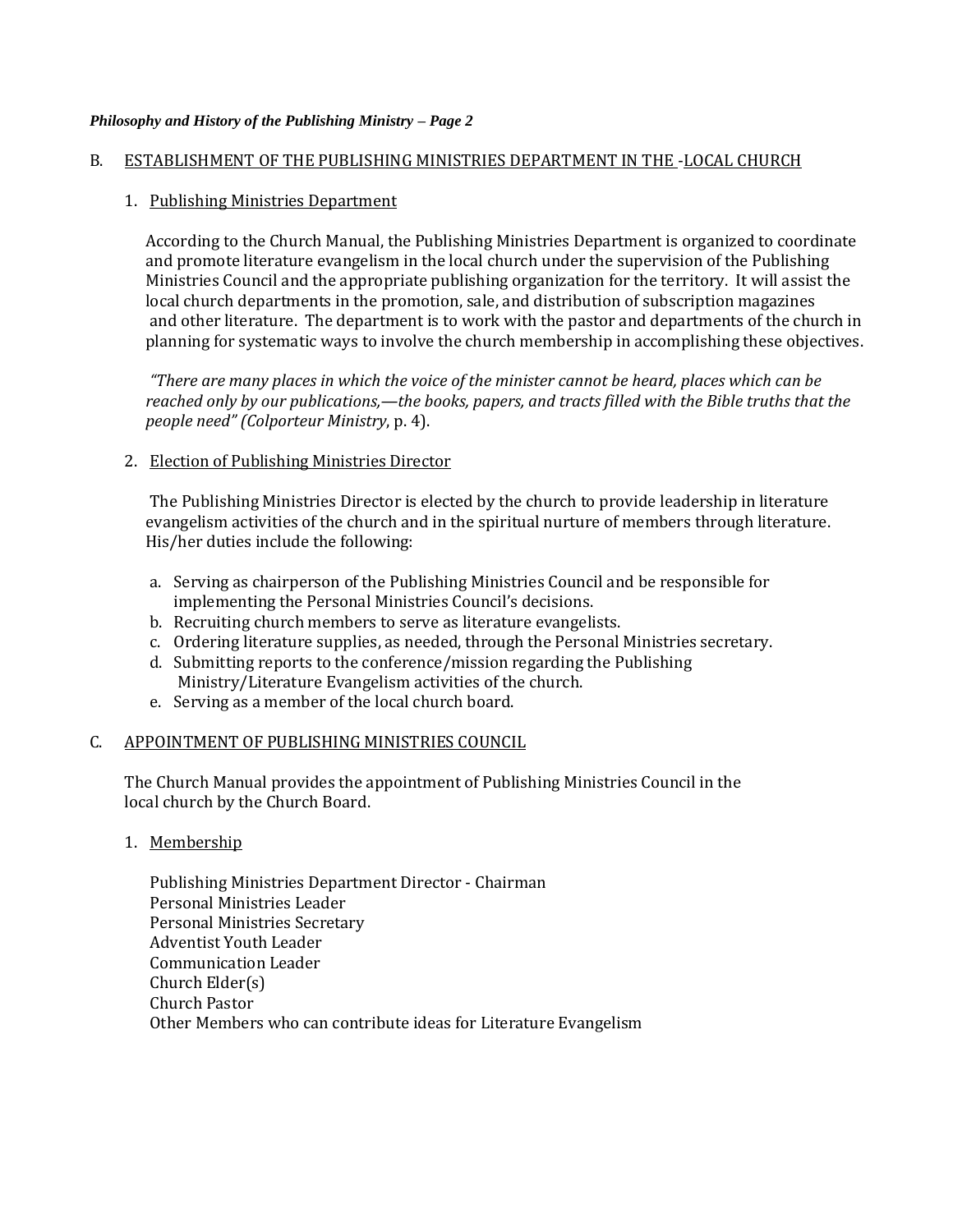### B. ESTABLISHMENT OF THE PUBLISHING MINISTRIES DEPARTMENT IN THE -LOCAL CHURCH

## 1. Publishing Ministries Department

According to the Church Manual, the Publishing Ministries Department is organized to coordinate and promote literature evangelism in the local church under the supervision of the Publishing Ministries Council and the appropriate publishing organization for the territory. It will assist the local church departments in the promotion, sale, and distribution of subscription magazines and other literature. The department is to work with the pastor and departments of the church in planning for systematic ways to involve the church membership in accomplishing these objectives.

*"There are many places in which the voice of the minister cannot be heard, places which can be reached only by our publications,—the books, papers, and tracts filled with the Bible truths that the people need" (Colporteur Ministry*, p. 4).

### 2. Election of Publishing Ministries Director

The Publishing Ministries Director is elected by the church to provide leadership in literature evangelism activities of the church and in the spiritual nurture of members through literature. His/her duties include the following:

- a. Serving as chairperson of the Publishing Ministries Council and be responsible for implementing the Personal Ministries Council's decisions.
- b. Recruiting church members to serve as literature evangelists.
- c. Ordering literature supplies, as needed, through the Personal Ministries secretary.
- d. Submitting reports to the conference/mission regarding the Publishing Ministry/Literature Evangelism activities of the church.
- e. Serving as a member of the local church board.

## C. APPOINTMENT OF PUBLISHING MINISTRIES COUNCIL

The Church Manual provides the appointment of Publishing Ministries Council in the local church by the Church Board.

1. Membership

Publishing Ministries Department Director - Chairman Personal Ministries Leader Personal Ministries Secretary Adventist Youth Leader Communication Leader Church Elder(s) Church Pastor Other Members who can contribute ideas for Literature Evangelism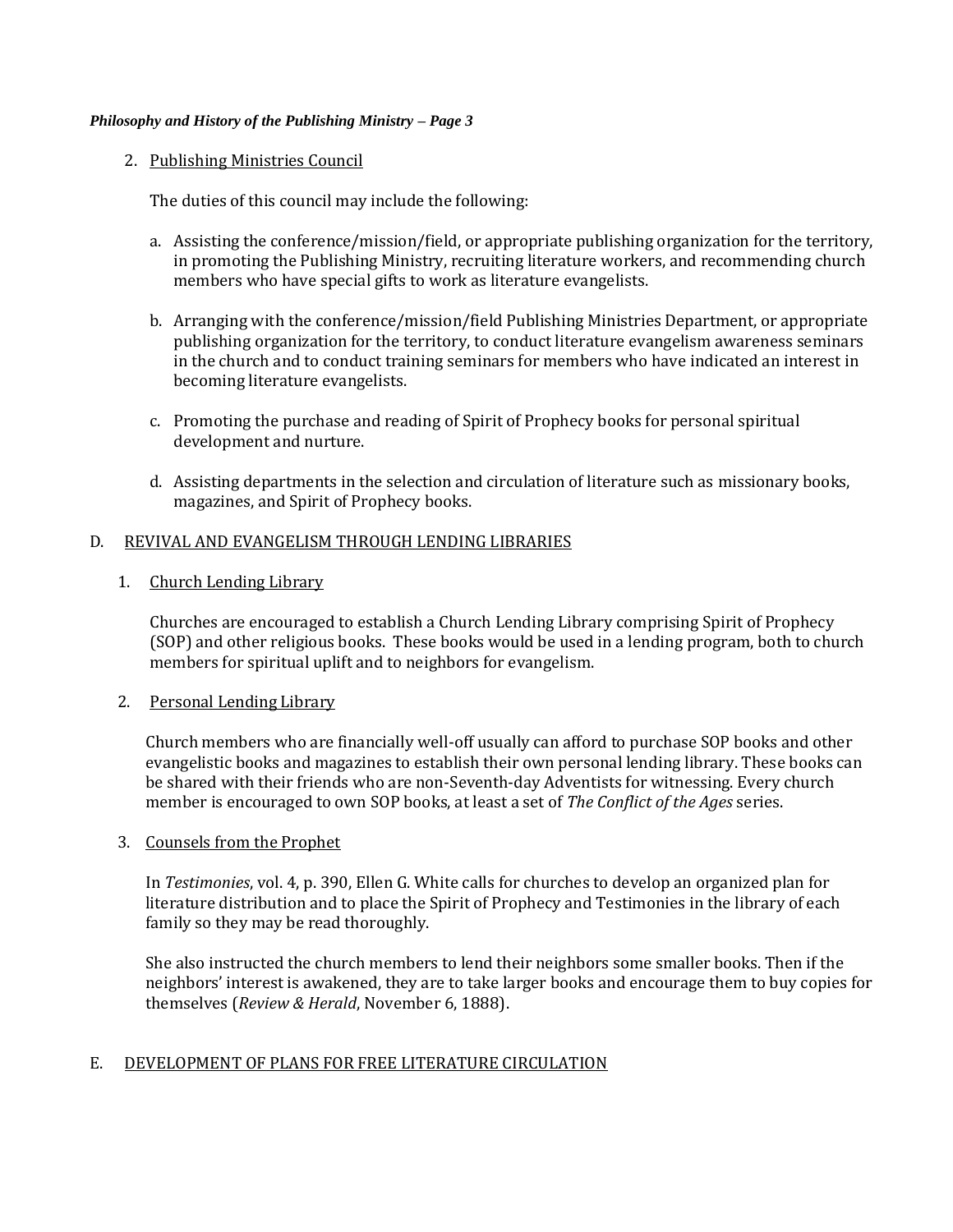## 2. Publishing Ministries Council

The duties of this council may include the following:

- a. Assisting the conference/mission/field, or appropriate publishing organization for the territory, in promoting the Publishing Ministry, recruiting literature workers, and recommending church members who have special gifts to work as literature evangelists.
- b. Arranging with the conference/mission/field Publishing Ministries Department, or appropriate publishing organization for the territory, to conduct literature evangelism awareness seminars in the church and to conduct training seminars for members who have indicated an interest in becoming literature evangelists.
- c. Promoting the purchase and reading of Spirit of Prophecy books for personal spiritual development and nurture.
- d. Assisting departments in the selection and circulation of literature such as missionary books, magazines, and Spirit of Prophecy books.

## D. REVIVAL AND EVANGELISM THROUGH LENDING LIBRARIES

1. Church Lending Library

Churches are encouraged to establish a Church Lending Library comprising Spirit of Prophecy (SOP) and other religious books. These books would be used in a lending program, both to church members for spiritual uplift and to neighbors for evangelism.

## 2. Personal Lending Library

Church members who are financially well-off usually can afford to purchase SOP books and other evangelistic books and magazines to establish their own personal lending library. These books can be shared with their friends who are non-Seventh-day Adventists for witnessing. Every church member is encouraged to own SOP books, at least a set of *The Conflict of the Ages* series.

## 3. Counsels from the Prophet

In *Testimonies*, vol. 4, p. 390, Ellen G. White calls for churches to develop an organized plan for literature distribution and to place the Spirit of Prophecy and Testimonies in the library of each family so they may be read thoroughly.

She also instructed the church members to lend their neighbors some smaller books. Then if the neighbors' interest is awakened, they are to take larger books and encourage them to buy copies for themselves (*Review & Herald*, November 6, 1888).

# E. DEVELOPMENT OF PLANS FOR FREE LITERATURE CIRCULATION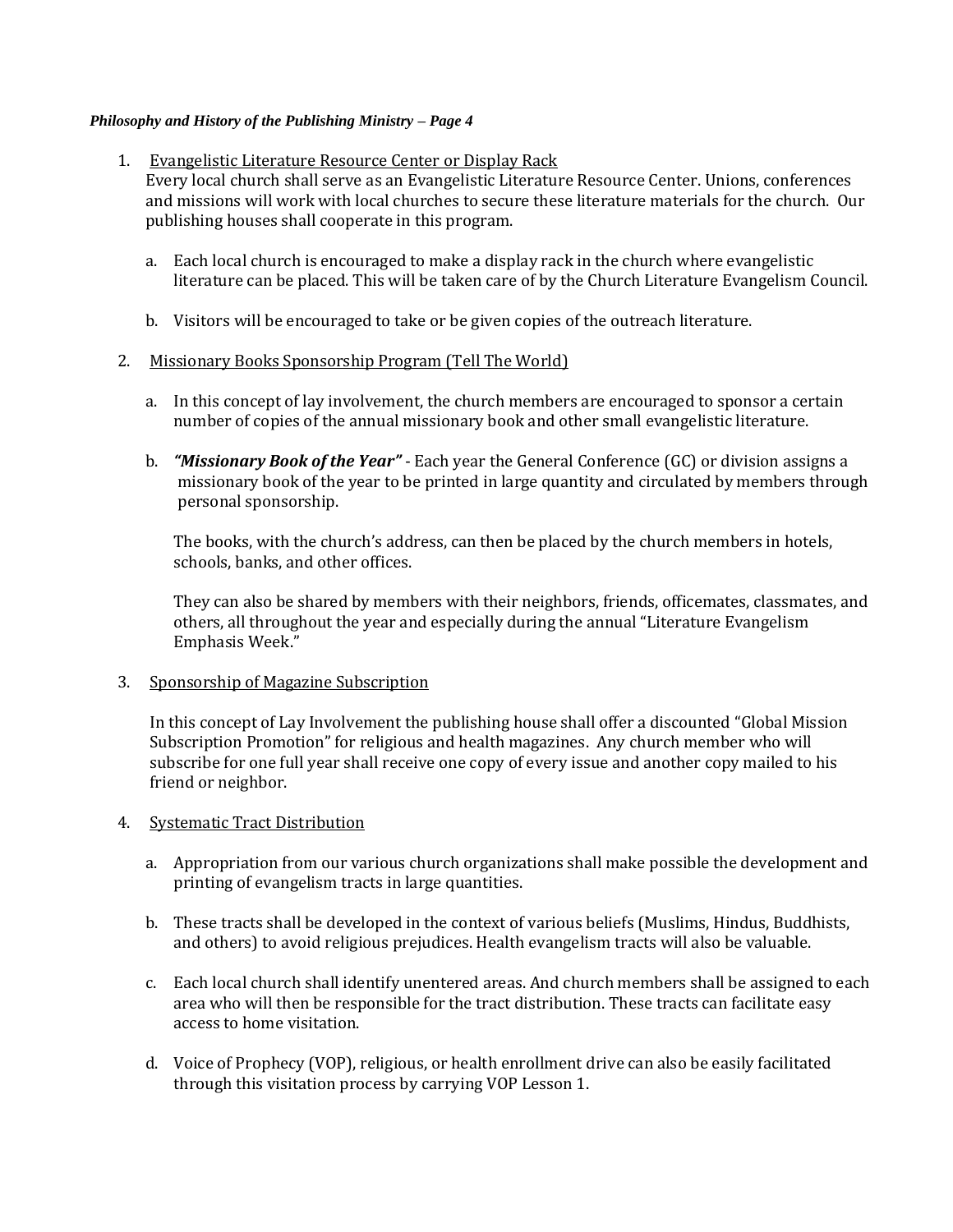### 1. Evangelistic Literature Resource Center or Display Rack

Every local church shall serve as an Evangelistic Literature Resource Center. Unions, conferences and missions will work with local churches to secure these literature materials for the church. Our publishing houses shall cooperate in this program.

- a. Each local church is encouraged to make a display rack in the church where evangelistic literature can be placed. This will be taken care of by the Church Literature Evangelism Council.
- b. Visitors will be encouraged to take or be given copies of the outreach literature.

### 2. Missionary Books Sponsorship Program (Tell The World)

- a. In this concept of lay involvement, the church members are encouraged to sponsor a certain number of copies of the annual missionary book and other small evangelistic literature.
- b. *"Missionary Book of the Year"* Each year the General Conference (GC) or division assigns a missionary book of the year to be printed in large quantity and circulated by members through personal sponsorship.

The books, with the church's address, can then be placed by the church members in hotels, schools, banks, and other offices.

They can also be shared by members with their neighbors, friends, officemates, classmates, and others, all throughout the year and especially during the annual "Literature Evangelism Emphasis Week."

#### 3. Sponsorship of Magazine Subscription

In this concept of Lay Involvement the publishing house shall offer a discounted "Global Mission Subscription Promotion" for religious and health magazines. Any church member who will subscribe for one full year shall receive one copy of every issue and another copy mailed to his friend or neighbor.

#### 4. Systematic Tract Distribution

- a. Appropriation from our various church organizations shall make possible the development and printing of evangelism tracts in large quantities.
- b. These tracts shall be developed in the context of various beliefs (Muslims, Hindus, Buddhists, and others) to avoid religious prejudices. Health evangelism tracts will also be valuable.
- c. Each local church shall identify unentered areas. And church members shall be assigned to each area who will then be responsible for the tract distribution. These tracts can facilitate easy access to home visitation.
- d. Voice of Prophecy (VOP), religious, or health enrollment drive can also be easily facilitated through this visitation process by carrying VOP Lesson 1.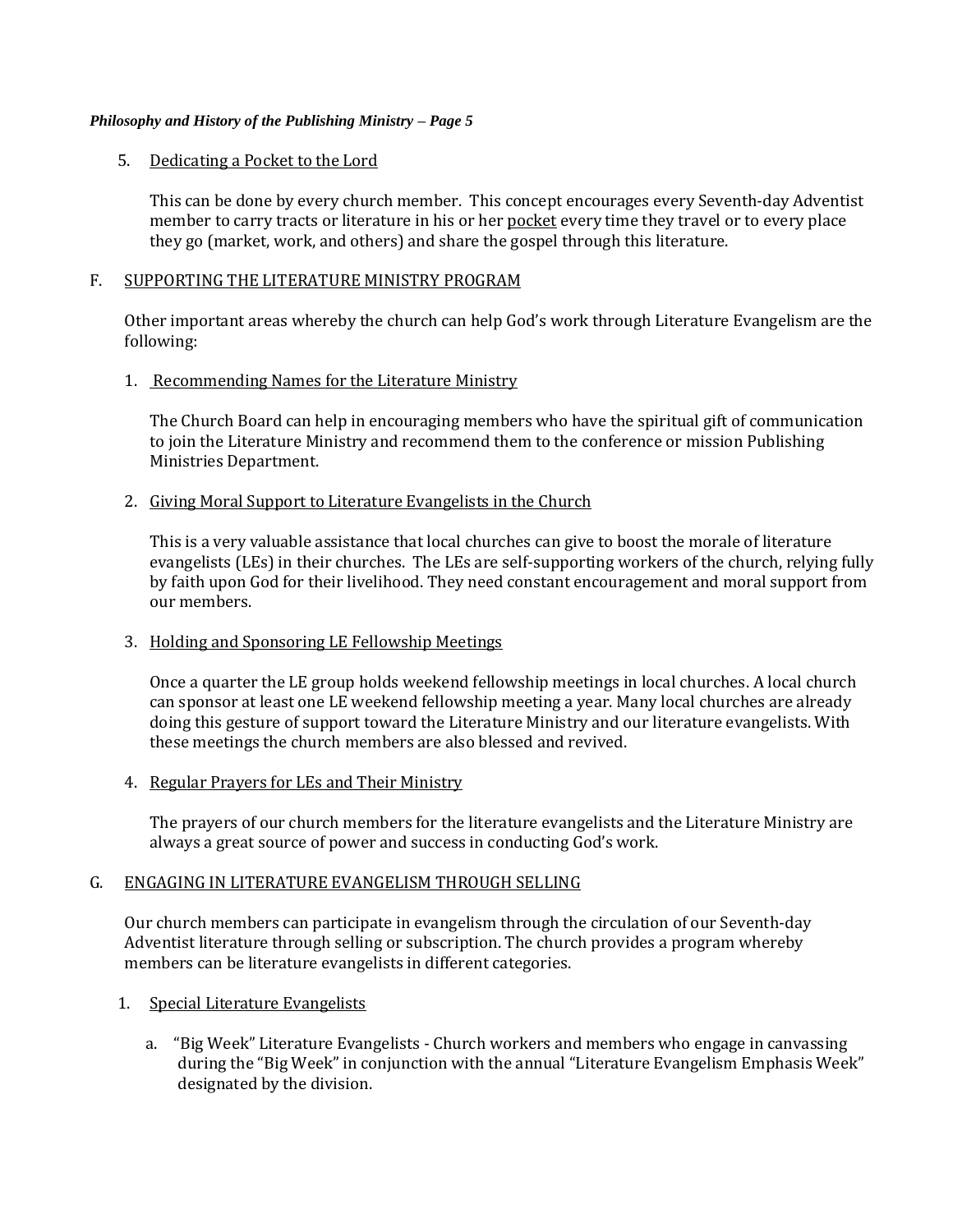## 5. Dedicating a Pocket to the Lord

This can be done by every church member. This concept encourages every Seventh-day Adventist member to carry tracts or literature in his or her pocket every time they travel or to every place they go (market, work, and others) and share the gospel through this literature.

### F. SUPPORTING THE LITERATURE MINISTRY PROGRAM

Other important areas whereby the church can help God's work through Literature Evangelism are the following:

## 1. Recommending Names for the Literature Ministry

The Church Board can help in encouraging members who have the spiritual gift of communication to join the Literature Ministry and recommend them to the conference or mission Publishing Ministries Department.

## 2. Giving Moral Support to Literature Evangelists in the Church

This is a very valuable assistance that local churches can give to boost the morale of literature evangelists (LEs) in their churches. The LEs are self-supporting workers of the church, relying fully by faith upon God for their livelihood. They need constant encouragement and moral support from our members.

## 3. Holding and Sponsoring LE Fellowship Meetings

Once a quarter the LE group holds weekend fellowship meetings in local churches. A local church can sponsor at least one LE weekend fellowship meeting a year. Many local churches are already doing this gesture of support toward the Literature Ministry and our literature evangelists. With these meetings the church members are also blessed and revived.

# 4. Regular Prayers for LEs and Their Ministry

The prayers of our church members for the literature evangelists and the Literature Ministry are always a great source of power and success in conducting God's work.

#### G. ENGAGING IN LITERATURE EVANGELISM THROUGH SELLING

Our church members can participate in evangelism through the circulation of our Seventh-day Adventist literature through selling or subscription. The church provides a program whereby members can be literature evangelists in different categories.

## 1. Special Literature Evangelists

a. "Big Week" Literature Evangelists - Church workers and members who engage in canvassing during the "Big Week" in conjunction with the annual "Literature Evangelism Emphasis Week" designated by the division.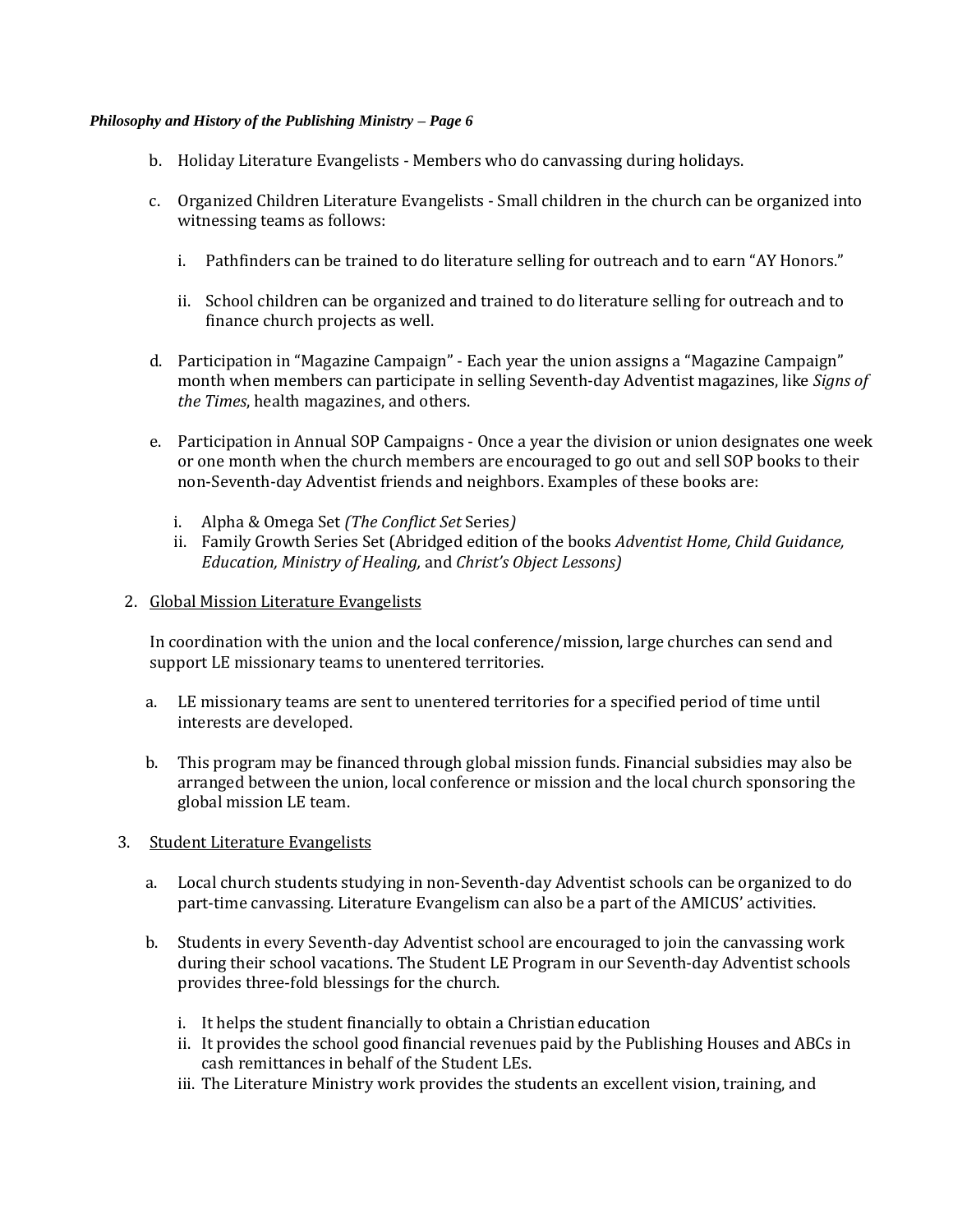- b. Holiday Literature Evangelists Members who do canvassing during holidays.
- c. Organized Children Literature Evangelists Small children in the church can be organized into witnessing teams as follows:
	- i. Pathfinders can be trained to do literature selling for outreach and to earn "AY Honors."
	- ii. School children can be organized and trained to do literature selling for outreach and to finance church projects as well.
- d. Participation in "Magazine Campaign" Each year the union assigns a "Magazine Campaign" month when members can participate in selling Seventh-day Adventist magazines, like *Signs of the Times*, health magazines, and others.
- e. Participation in Annual SOP Campaigns Once a year the division or union designates one week or one month when the church members are encouraged to go out and sell SOP books to their non-Seventh-day Adventist friends and neighbors. Examples of these books are:
	- i. Alpha & Omega Set *(The Conflict Set* Series*)*
	- ii. Family Growth Series Set (Abridged edition of the books *Adventist Home, Child Guidance, Education, Ministry of Healing,* and *Christ's Object Lessons)*
- 2. Global Mission Literature Evangelists

In coordination with the union and the local conference/mission, large churches can send and support LE missionary teams to unentered territories.

- a. LE missionary teams are sent to unentered territories for a specified period of time until interests are developed.
- b. This program may be financed through global mission funds. Financial subsidies may also be arranged between the union, local conference or mission and the local church sponsoring the global mission LE team.
- 3. Student Literature Evangelists
	- a. Local church students studying in non-Seventh-day Adventist schools can be organized to do part-time canvassing. Literature Evangelism can also be a part of the AMICUS' activities.
	- b. Students in every Seventh-day Adventist school are encouraged to join the canvassing work during their school vacations. The Student LE Program in our Seventh-day Adventist schools provides three-fold blessings for the church.
		- i. It helps the student financially to obtain a Christian education
		- ii. It provides the school good financial revenues paid by the Publishing Houses and ABCs in cash remittances in behalf of the Student LEs.
		- iii. The Literature Ministry work provides the students an excellent vision, training, and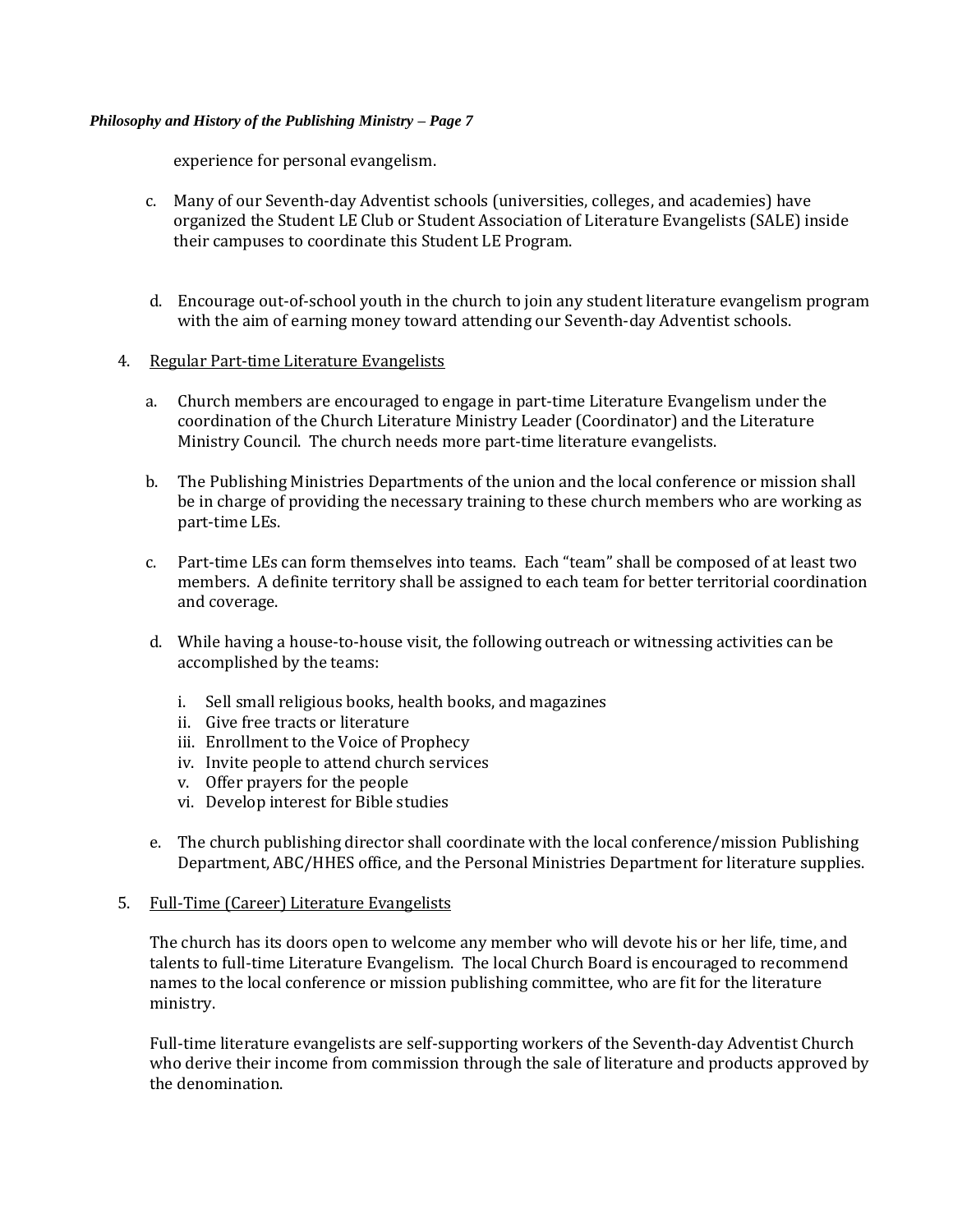experience for personal evangelism.

- c. Many of our Seventh-day Adventist schools (universities, colleges, and academies) have organized the Student LE Club or Student Association of Literature Evangelists (SALE) inside their campuses to coordinate this Student LE Program.
- d. Encourage out-of-school youth in the church to join any student literature evangelism program with the aim of earning money toward attending our Seventh-day Adventist schools.

## 4. Regular Part-time Literature Evangelists

- a. Church members are encouraged to engage in part-time Literature Evangelism under the coordination of the Church Literature Ministry Leader (Coordinator) and the Literature Ministry Council. The church needs more part-time literature evangelists.
- b. The Publishing Ministries Departments of the union and the local conference or mission shall be in charge of providing the necessary training to these church members who are working as part-time LEs.
- c. Part-time LEs can form themselves into teams. Each "team" shall be composed of at least two members. A definite territory shall be assigned to each team for better territorial coordination and coverage.
- d. While having a house-to-house visit, the following outreach or witnessing activities can be accomplished by the teams:
	- i. Sell small religious books, health books, and magazines
	- ii. Give free tracts or literature
	- iii. Enrollment to the Voice of Prophecy
	- iv. Invite people to attend church services
	- v. Offer prayers for the people
	- vi. Develop interest for Bible studies
- e. The church publishing director shall coordinate with the local conference/mission Publishing Department, ABC/HHES office, and the Personal Ministries Department for literature supplies.
- 5. Full-Time (Career) Literature Evangelists

The church has its doors open to welcome any member who will devote his or her life, time, and talents to full-time Literature Evangelism. The local Church Board is encouraged to recommend names to the local conference or mission publishing committee, who are fit for the literature ministry.

Full-time literature evangelists are self-supporting workers of the Seventh-day Adventist Church who derive their income from commission through the sale of literature and products approved by the denomination.